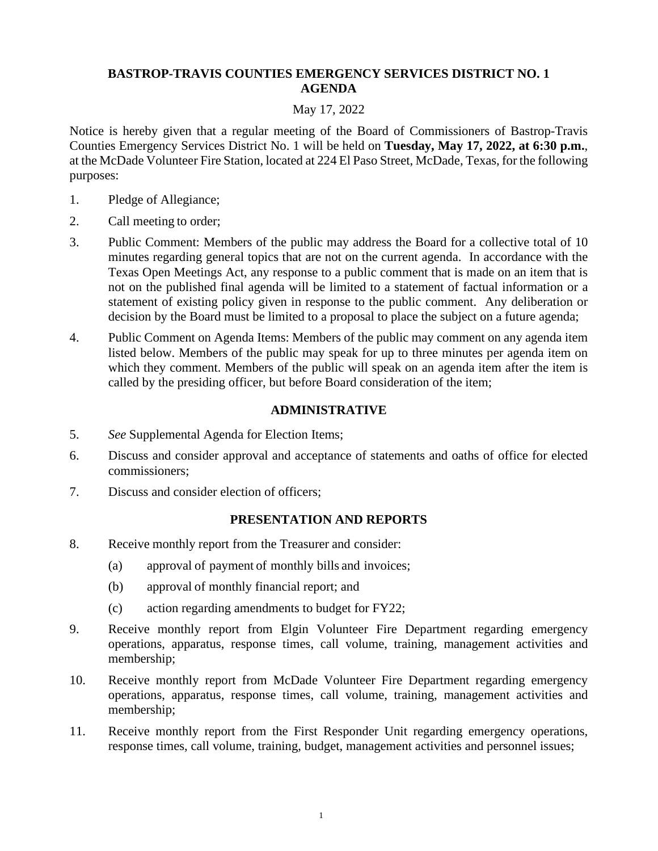# **BASTROP-TRAVIS COUNTIES EMERGENCY SERVICES DISTRICT NO. 1 AGENDA**

# May 17, 2022

Notice is hereby given that a regular meeting of the Board of Commissioners of Bastrop-Travis Counties Emergency Services District No. 1 will be held on **Tuesday, May 17, 2022, at 6:30 p.m.**, at the McDade Volunteer Fire Station, located at 224 El Paso Street, McDade, Texas, for the following purposes:

- 1. Pledge of Allegiance;
- 2. Call meeting to order;
- 3. Public Comment: Members of the public may address the Board for a collective total of 10 minutes regarding general topics that are not on the current agenda. In accordance with the Texas Open Meetings Act, any response to a public comment that is made on an item that is not on the published final agenda will be limited to a statement of factual information or a statement of existing policy given in response to the public comment. Any deliberation or decision by the Board must be limited to a proposal to place the subject on a future agenda;
- 4. Public Comment on Agenda Items: Members of the public may comment on any agenda item listed below. Members of the public may speak for up to three minutes per agenda item on which they comment. Members of the public will speak on an agenda item after the item is called by the presiding officer, but before Board consideration of the item;

# **ADMINISTRATIVE**

- 5. *See* Supplemental Agenda for Election Items;
- 6. Discuss and consider approval and acceptance of statements and oaths of office for elected commissioners;
- 7. Discuss and consider election of officers;

# **PRESENTATION AND REPORTS**

- 8. Receive monthly report from the Treasurer and consider:
	- (a) approval of payment of monthly bills and invoices;
	- (b) approval of monthly financial report; and
	- (c) action regarding amendments to budget for FY22;
- 9. Receive monthly report from Elgin Volunteer Fire Department regarding emergency operations, apparatus, response times, call volume, training, management activities and membership;
- 10. Receive monthly report from McDade Volunteer Fire Department regarding emergency operations, apparatus, response times, call volume, training, management activities and membership;
- 11. Receive monthly report from the First Responder Unit regarding emergency operations, response times, call volume, training, budget, management activities and personnel issues;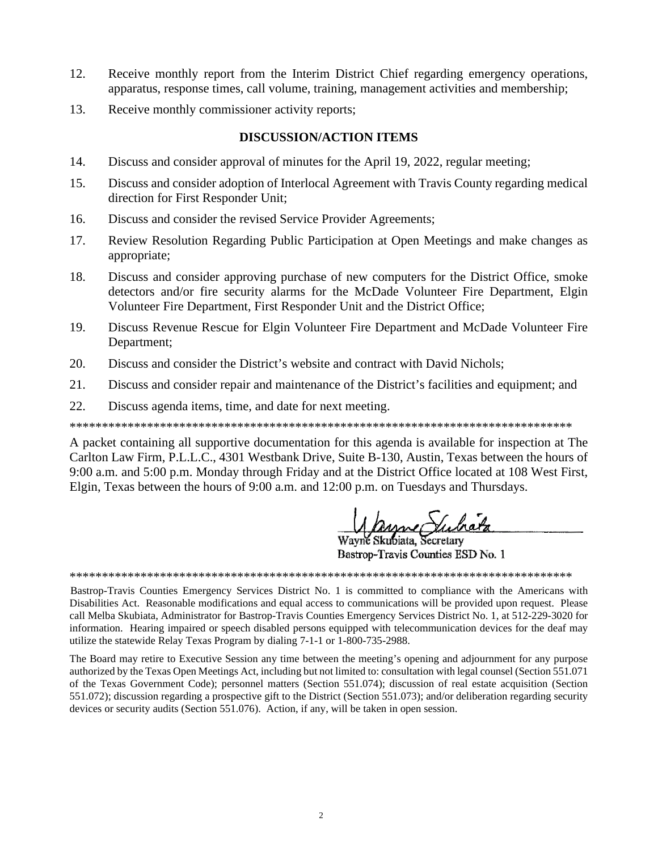- $12<sub>1</sub>$ Receive monthly report from the Interim District Chief regarding emergency operations, apparatus, response times, call volume, training, management activities and membership;
- 13. Receive monthly commissioner activity reports;

# **DISCUSSION/ACTION ITEMS**

- $14.$ Discuss and consider approval of minutes for the April 19, 2022, regular meeting;
- 15. Discuss and consider adoption of Interlocal Agreement with Travis County regarding medical direction for First Responder Unit;
- 16. Discuss and consider the revised Service Provider Agreements;
- 17. Review Resolution Regarding Public Participation at Open Meetings and make changes as appropriate;
- 18. Discuss and consider approving purchase of new computers for the District Office, smoke detectors and/or fire security alarms for the McDade Volunteer Fire Department, Elgin Volunteer Fire Department, First Responder Unit and the District Office;
- 19. Discuss Revenue Rescue for Elgin Volunteer Fire Department and McDade Volunteer Fire Department;
- $20<sup>2</sup>$ Discuss and consider the District's website and contract with David Nichols;
- 21. Discuss and consider repair and maintenance of the District's facilities and equipment; and
- $22<sub>1</sub>$ Discuss agenda items, time, and date for next meeting.

A packet containing all supportive documentation for this agenda is available for inspection at The Carlton Law Firm, P.L.L.C., 4301 Westbank Drive, Suite B-130, Austin, Texas between the hours of 9:00 a.m. and 5:00 p.m. Monday through Friday and at the District Office located at 108 West First, Elgin, Texas between the hours of 9:00 a.m. and 12:00 p.m. on Tuesdays and Thursdays.

Mayne Such

Bastrop-Travis Counties ESD No. 1

Bastrop-Travis Counties Emergency Services District No. 1 is committed to compliance with the Americans with Disabilities Act. Reasonable modifications and equal access to communications will be provided upon request. Please call Melba Skubiata, Administrator for Bastrop-Travis Counties Emergency Services District No. 1, at 512-229-3020 for information. Hearing impaired or speech disabled persons equipped with telecommunication devices for the deaf may utilize the statewide Relay Texas Program by dialing 7-1-1 or 1-800-735-2988.

The Board may retire to Executive Session any time between the meeting's opening and adjournment for any purpose authorized by the Texas Open Meetings Act, including but not limited to: consultation with legal counsel (Section 551.071) of the Texas Government Code); personnel matters (Section 551.074); discussion of real estate acquisition (Section 551.072); discussion regarding a prospective gift to the District (Section 551.073); and/or deliberation regarding security devices or security audits (Section 551.076). Action, if any, will be taken in open session.